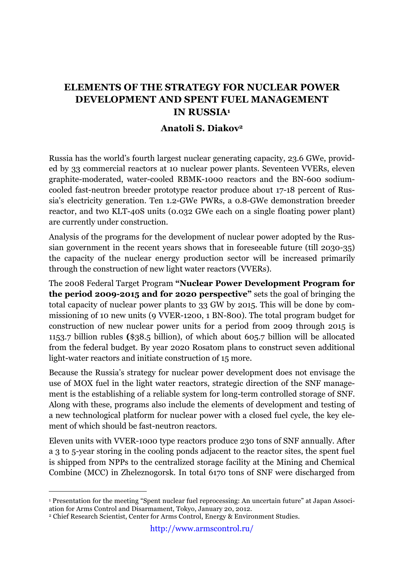## **ELEMENTS OF THE STRATEGY FOR NUCLEAR POWER DEVELOPMENT AND SPENT FUEL MANAGEMENT IN RUSSIA1**

## **Anatoli S. Diakov2**

Russia has the world's fourth largest nuclear generating capacity, 23.6 GWe, provided by 33 commercial reactors at 10 nuclear power plants. Seventeen VVERs, eleven graphite-moderated, water-cooled RBMK-1000 reactors and the BN-600 sodiumcooled fast-neutron breeder prototype reactor produce about 17-18 percent of Russia's electricity generation. Ten 1.2-GWe PWRs, a 0.8-GWe demonstration breeder reactor, and two KLT-40S units (0.032 GWe each on a single floating power plant) are currently under construction.

Analysis of the programs for the development of nuclear power adopted by the Russian government in the recent years shows that in foreseeable future (till 2030-35) the capacity of the nuclear energy production sector will be increased primarily through the construction of new light water reactors (VVERs).

The 2008 Federal Target Program **"Nuclear Power Development Program for the period 2009-2015 and for 2020 perspective"** sets the goal of bringing the total capacity of nuclear power plants to 33 GW by 2015. This will be done by commissioning of 10 new units (9 VVER-1200, 1 BN-800). The total program budget for construction of new nuclear power units for a period from 2009 through 2015 is 1153.7 billion rubles **(**\$38.5 billion), of which about 605.7 billion will be allocated from the federal budget. By year 2020 Rosatom plans to construct seven additional light-water reactors and initiate construction of 15 more.

Because the Russia's strategy for nuclear power development does not envisage the use of MOX fuel in the light water reactors, strategic direction of the SNF management is the establishing of a reliable system for long-term controlled storage of SNF. Along with these, programs also include the elements of development and testing of a new technological platform for nuclear power with a closed fuel cycle, the key element of which should be fast-neutron reactors.

Eleven units with VVER-1000 type reactors produce 230 tons of SNF annually. After a 3 to 5-year storing in the cooling ponds adjacent to the reactor sites, the spent fuel is shipped from NPPs to the centralized storage facility at the Mining and Chemical Combine (MCC) in Zheleznogorsk. In total 6170 tons of SNF were discharged from

 <sup>1</sup> Presentation for the meeting "Spent nuclear fuel reprocessing: An uncertain future" at Japan Association for Arms Control and Disarmament, Tokyo, January 20, 2012.

<sup>2</sup> Chief Research Scientist, Center for Arms Control, Energy & Environment Studies.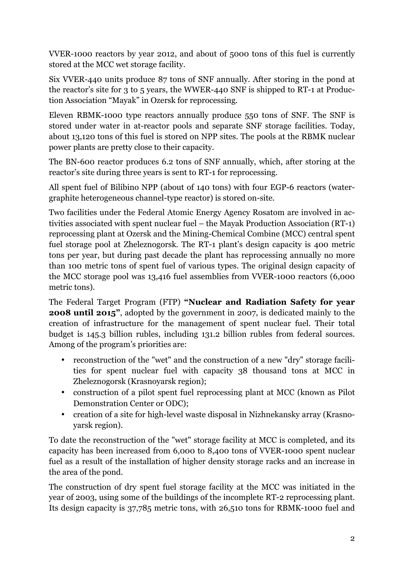VVER-1000 reactors by year 2012, and about of 5000 tons of this fuel is currently stored at the MCC wet storage facility.

Six VVER-440 units produce 87 tons of SNF annually. After storing in the pond at the reactor's site for 3 to 5 years, the WWER-440 SNF is shipped to RT-1 at Production Association "Mayak" in Ozersk for reprocessing.

Eleven RBMK-1000 type reactors annually produce 550 tons of SNF. The SNF is stored under water in at-reactor pools and separate SNF storage facilities. Today, about 13,120 tons of this fuel is stored on NPP sites. The pools at the RBMK nuclear power plants are pretty close to their capacity.

The BN-600 reactor produces 6.2 tons of SNF annually, which, after storing at the reactor's site during three years is sent to RT-1 for reprocessing.

All spent fuel of Bilibino NPP (about of 140 tons) with four EGP-6 reactors (watergraphite heterogeneous channel-type reactor) is stored on-site.

Two facilities under the Federal Atomic Energy Agency Rosatom are involved in activities associated with spent nuclear fuel – the Mayak Production Association (RT-1) reprocessing plant at Ozersk and the Mining-Chemical Combine (MCC) central spent fuel storage pool at Zheleznogorsk. The RT-1 plant's design capacity is 400 metric tons per year, but during past decade the plant has reprocessing annually no more than 100 metric tons of spent fuel of various types. The original design capacity of the MCC storage pool was 13,416 fuel assemblies from VVER-1000 reactors (6,000 metric tons).

The Federal Target Program (FTP) **"Nuclear and Radiation Safety for year 2008 until 2015"**, adopted by the government in 2007, is dedicated mainly to the creation of infrastructure for the management of spent nuclear fuel. Their total budget is 145.3 billion rubles, including 131.2 billion rubles from federal sources. Among of the program's priorities are:

- reconstruction of the "wet" and the construction of a new "dry" storage facilities for spent nuclear fuel with capacity 38 thousand tons at MCC in Zheleznogorsk (Krasnoyarsk region);
- construction of a pilot spent fuel reprocessing plant at MCC (known as Pilot Demonstration Center or ODC);
- creation of a site for high-level waste disposal in Nizhnekansky array (Krasnoyarsk region).

To date the reconstruction of the "wet" storage facility at MCC is completed, and its capacity has been increased from 6,000 to 8,400 tons of VVER-1000 spent nuclear fuel as a result of the installation of higher density storage racks and an increase in the area of the pond.

The construction of dry spent fuel storage facility at the MCC was initiated in the year of 2003, using some of the buildings of the incomplete RT-2 reprocessing plant. Its design capacity is 37,785 metric tons, with 26,510 tons for RBMK-1000 fuel and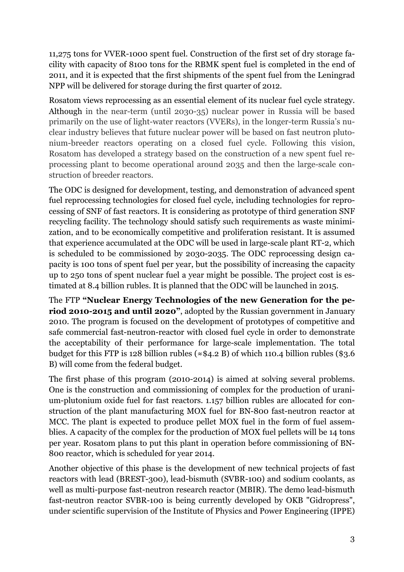11,275 tons for VVER-1000 spent fuel. Construction of the first set of dry storage facility with capacity of 8100 tons for the RBMK spent fuel is completed in the end of 2011, and it is expected that the first shipments of the spent fuel from the Leningrad NPP will be delivered for storage during the first quarter of 2012.

Rosatom views reprocessing as an essential element of its nuclear fuel cycle strategy. Although in the near-term (until 2030-35) nuclear power in Russia will be based primarily on the use of light-water reactors (VVERs), in the longer-term Russia's nuclear industry believes that future nuclear power will be based on fast neutron plutonium-breeder reactors operating on a closed fuel cycle. Following this vision, Rosatom has developed a strategy based on the construction of a new spent fuel reprocessing plant to become operational around 2035 and then the large-scale construction of breeder reactors.

The ODC is designed for development, testing, and demonstration of advanced spent fuel reprocessing technologies for closed fuel cycle, including technologies for reprocessing of SNF of fast reactors. It is considering as prototype of third generation SNF recycling facility. The technology should satisfy such requirements as waste minimization, and to be economically competitive and proliferation resistant. It is assumed that experience accumulated at the ODC will be used in large-scale plant RT-2, which is scheduled to be commissioned by 2030-2035. The ODC reprocessing design capacity is 100 tons of spent fuel per year, but the possibility of increasing the capacity up to 250 tons of spent nuclear fuel a year might be possible. The project cost is estimated at 8.4 billion rubles. It is planned that the ODC will be launched in 2015.

The FTP **"Nuclear Energy Technologies of the new Generation for the period 2010-2015 and until 2020"**, adopted by the Russian government in January 2010. The program is focused on the development of prototypes of competitive and safe commercial fast-neutron-reactor with closed fuel cycle in order to demonstrate the acceptability of their performance for large-scale implementation. The total budget for this FTP is 128 billion rubles ( $\approx$ \$4.2 B) of which 110.4 billion rubles (\$3.6 B) will come from the federal budget.

The first phase of this program (2010-2014) is aimed at solving several problems. One is the construction and commissioning of complex for the production of uranium-plutonium oxide fuel for fast reactors. 1.157 billion rubles are allocated for construction of the plant manufacturing MOX fuel for BN-800 fast-neutron reactor at MCC. The plant is expected to produce pellet MOX fuel in the form of fuel assemblies. A capacity of the complex for the production of MOX fuel pellets will be 14 tons per year. Rosatom plans to put this plant in operation before commissioning of BN-800 reactor, which is scheduled for year 2014.

Another objective of this phase is the development of new technical projects of fast reactors with lead (BREST-300), lead-bismuth (SVBR-100) and sodium coolants, as well as multi-purpose fast-neutron research reactor (MBIR). The demo lead-bismuth fast-neutron reactor SVBR-100 is being currently developed by OKB "Gidropress", under scientific supervision of the Institute of Physics and Power Engineering (IPPE)